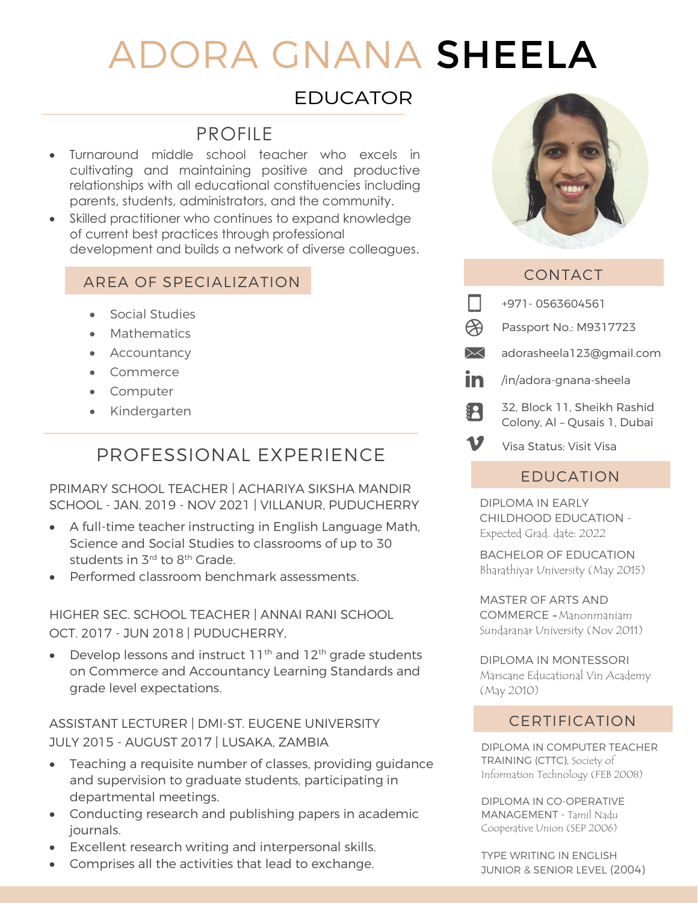# ADORA GNANA SHEELA

### EDUCATOR

# PROFILE

- Turnaround middle school teacher who excels in cultivating and maintaining positive and productive relationships with all educational constituencies including parents, students, administrators, and the community.
- Skilled practitioner who continues to expand knowledge of current best practices through professional development and builds a network of diverse colleagues.

### AREA OF SPECIALIZATION

- Social Studies
- Mathematics
- Accountancy
- Commerce
- Computer
- Kindergarten

# PROFESSIONAL EXPERIENCE

#### PRIMARY SCHOOL TEACHER | ACHARIYA SIKSHA MANDIR SCHOOL - JAN. 2019 - NOV 2021 | VILLANUR, PUDUCHERRY

- A full-time teacher instructing in English Language Math, Science and Social Studies to classrooms of up to 30 students in 3¤d to 8<sup>th</sup> Grade.
- Performed classroom benchmark assessments.

HIGHER SEC. SCHOOL TEACHER | ANNAI RANI SCHOOL OCT. 2017 - JUN 2018 | PUDUCHERRY,

• Develop lessons and instruct  $11<sup>th</sup>$  and  $12<sup>th</sup>$  grade students on Commerce and Accountancy Learning Standards and grade level expectations.

ASSISTANT LECTURER | DMI-ST. EUGENE UNIVERSITY JULY 2015 - AUGUST 2017 | LUSAKA, ZAMBIA

- Teaching a requisite number of classes, providing guidance and supervision to graduate students, participating in departmental meetings.
- Conducting research and publishing papers in academic journals.
- Excellent research writing and interpersonal skills.
- Comprises all the activities that lead to exchange.



### CONTACT

|         | +971-0563604561                                             |
|---------|-------------------------------------------------------------|
|         | Passport No.: M9317723                                      |
| $\Join$ | adorasheela123@gmail.com                                    |
| in      | /in/adora-gnana-sheela                                      |
| ij.     | 32. Block 11. Sheikh Rashid<br>Colony, Al - Qusais 1, Dubai |
|         | Visa Status: Visit Visa                                     |

### EDUCATION

DIPLOMA IN EARLY CHILDHOOD EDUCATION - Expected Grad. date: 2022

BACHELOR OF EDUCATION Bharathiyar University (May 2015)

MASTER OF ARTS AND COMMERCE - Manonmaniam Sundaranar University (Nov 2011)

DIPLOMA IN MONTESSORI Marscane Educational Vin Academy (May 2010)

### CERTIFICATION

DIPLOMA IN COMPUTER TEACHER TRAINING (CTTC), Society of Information Technology (FEB 2008)

DIPLOMA IN CO-OPERATIVE MANAGEMENT - Tamil Nadu Cooperative Union (SEP 2006)

TYPE WRITING IN ENGLISH JUNIOR & SENIOR LEVEL (2004)